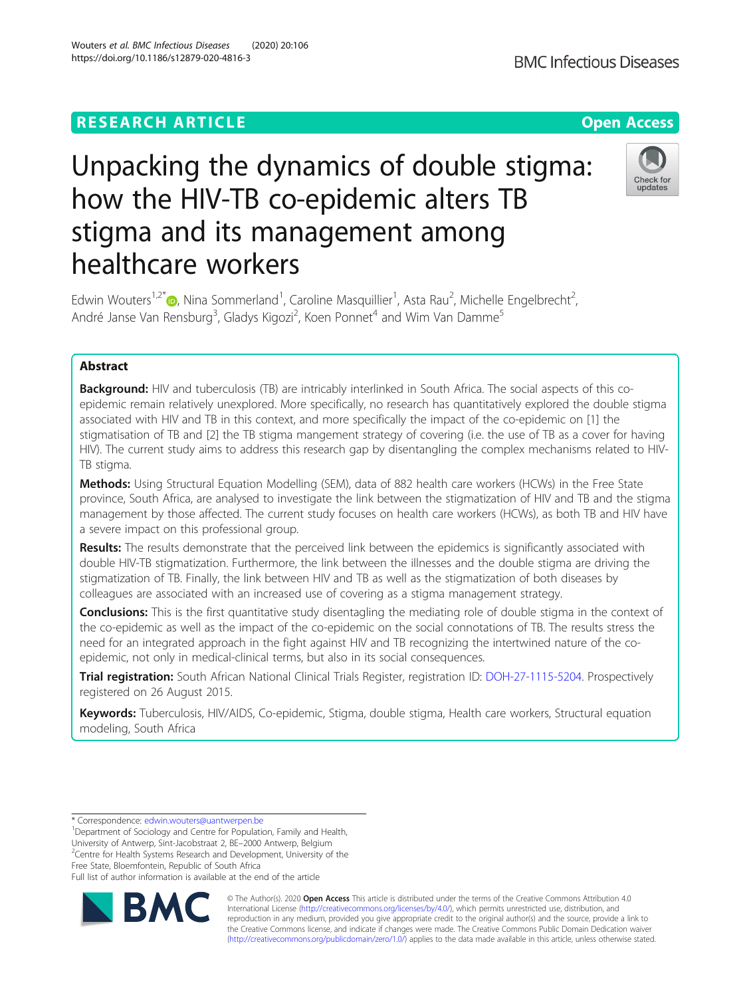## **RESEARCH ARTICLE Example 2014 12:30 The Contract of Contract ACCESS**

# Unpacking the dynamics of double stigma: how the HIV-TB co-epidemic alters TB stigma and its management among healthcare workers

Edwin Wouters<sup>1[,](http://orcid.org/0000-0003-2268-3829)2\*</sup> $\bullet$ , Nina Sommerland<sup>1</sup>, Caroline Masquillier<sup>1</sup>, Asta Rau<sup>2</sup>, Michelle Engelbrecht<sup>2</sup> .<br>, André Janse Van Rensburg<sup>3</sup>, Gladys Kigozi<sup>2</sup>, Koen Ponnet<sup>4</sup> and Wim Van Damme<sup>5</sup>

## Abstract

**Background:** HIV and tuberculosis (TB) are intricably interlinked in South Africa. The social aspects of this coepidemic remain relatively unexplored. More specifically, no research has quantitatively explored the double stigma associated with HIV and TB in this context, and more specifically the impact of the co-epidemic on [1] the stigmatisation of TB and [2] the TB stigma mangement strategy of covering (i.e. the use of TB as a cover for having HIV). The current study aims to address this research gap by disentangling the complex mechanisms related to HIV-TB stigma.

Methods: Using Structural Equation Modelling (SEM), data of 882 health care workers (HCWs) in the Free State province, South Africa, are analysed to investigate the link between the stigmatization of HIV and TB and the stigma management by those affected. The current study focuses on health care workers (HCWs), as both TB and HIV have a severe impact on this professional group.

Results: The results demonstrate that the perceived link between the epidemics is significantly associated with double HIV-TB stigmatization. Furthermore, the link between the illnesses and the double stigma are driving the stigmatization of TB. Finally, the link between HIV and TB as well as the stigmatization of both diseases by colleagues are associated with an increased use of covering as a stigma management strategy.

Conclusions: This is the first quantitative study disentagling the mediating role of double stigma in the context of the co-epidemic as well as the impact of the co-epidemic on the social connotations of TB. The results stress the need for an integrated approach in the fight against HIV and TB recognizing the intertwined nature of the coepidemic, not only in medical-clinical terms, but also in its social consequences.

Trial registration: South African National Clinical Trials Register, registration ID: [DOH-27-1115-5204](http://servicesx3.witshealth.co.za/TrialApplicationPrint/TrialApplicationView.aspx?ApplicationGuid=1c507f3a-7620-4d25-84dc-b77e559d5fd6). Prospectively registered on 26 August 2015.

Keywords: Tuberculosis, HIV/AIDS, Co-epidemic, Stigma, double stigma, Health care workers, Structural equation modeling, South Africa

\* Correspondence: [edwin.wouters@uantwerpen.be](mailto:edwin.wouters@uantwerpen.be) <sup>1</sup>

<sup>1</sup>Department of Sociology and Centre for Population, Family and Health, University of Antwerp, Sint-Jacobstraat 2, BE–2000 Antwerp, Belgium <sup>2</sup> <sup>2</sup> Centre for Health Systems Research and Development, University of the

Free State, Bloemfontein, Republic of South Africa

Full list of author information is available at the end of the article



© The Author(s). 2020 **Open Access** This article is distributed under the terms of the Creative Commons Attribution 4.0 International License [\(http://creativecommons.org/licenses/by/4.0/](http://creativecommons.org/licenses/by/4.0/)), which permits unrestricted use, distribution, and reproduction in any medium, provided you give appropriate credit to the original author(s) and the source, provide a link to the Creative Commons license, and indicate if changes were made. The Creative Commons Public Domain Dedication waiver [\(http://creativecommons.org/publicdomain/zero/1.0/](http://creativecommons.org/publicdomain/zero/1.0/)) applies to the data made available in this article, unless otherwise stated.





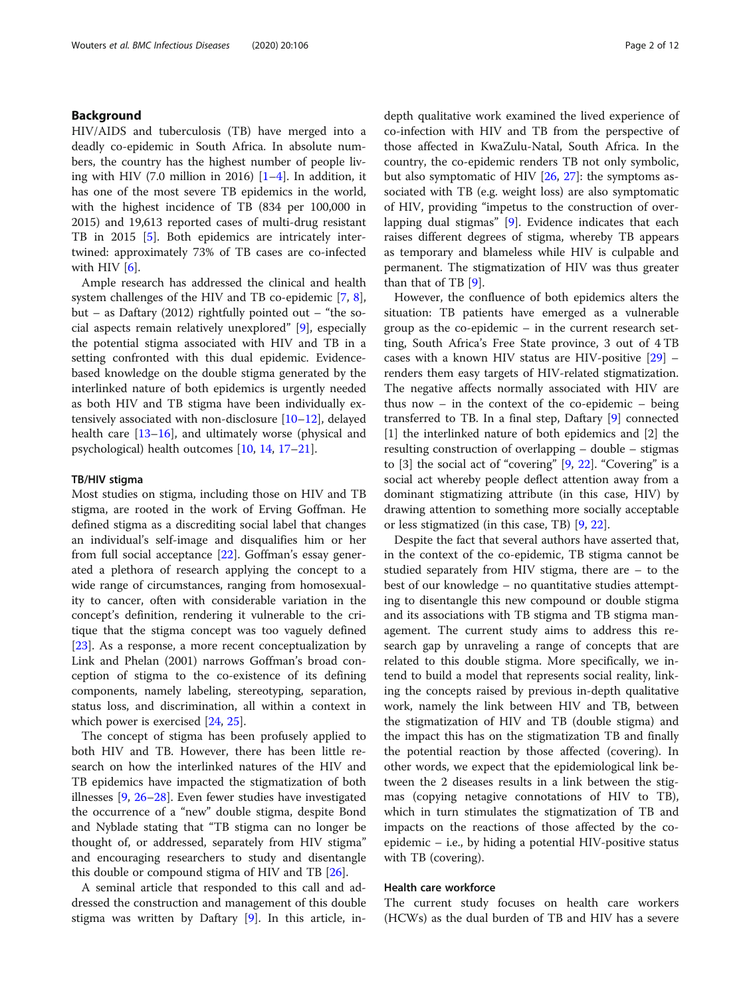## Background

HIV/AIDS and tuberculosis (TB) have merged into a deadly co-epidemic in South Africa. In absolute numbers, the country has the highest number of people living with HIV (7.0 million in 2016)  $[1-4]$  $[1-4]$  $[1-4]$  $[1-4]$ . In addition, it has one of the most severe TB epidemics in the world, with the highest incidence of TB (834 per 100,000 in 2015) and 19,613 reported cases of multi-drug resistant TB in 201[5](#page-10-0) [5]. Both epidemics are intricately intertwined: approximately 73% of TB cases are co-infected with HIV  $[6]$  $[6]$ .

Ample research has addressed the clinical and health system challenges of the HIV and TB co-epidemic [\[7](#page-10-0), [8](#page-10-0)], but – as Daftary (2012) rightfully pointed out – "the social aspects remain relatively unexplored" [[9\]](#page-10-0), especially the potential stigma associated with HIV and TB in a setting confronted with this dual epidemic. Evidencebased knowledge on the double stigma generated by the interlinked nature of both epidemics is urgently needed as both HIV and TB stigma have been individually extensively associated with non-disclosure [\[10](#page-10-0)–[12\]](#page-10-0), delayed health care [[13](#page-10-0)–[16](#page-10-0)], and ultimately worse (physical and psychological) health outcomes [[10,](#page-10-0) [14,](#page-10-0) [17](#page-10-0)–[21](#page-10-0)].

## TB/HIV stigma

Most studies on stigma, including those on HIV and TB stigma, are rooted in the work of Erving Goffman. He defined stigma as a discrediting social label that changes an individual's self-image and disqualifies him or her from full social acceptance [\[22](#page-10-0)]. Goffman's essay generated a plethora of research applying the concept to a wide range of circumstances, ranging from homosexuality to cancer, often with considerable variation in the concept's definition, rendering it vulnerable to the critique that the stigma concept was too vaguely defined [[23\]](#page-10-0). As a response, a more recent conceptualization by Link and Phelan (2001) narrows Goffman's broad conception of stigma to the co-existence of its defining components, namely labeling, stereotyping, separation, status loss, and discrimination, all within a context in which power is exercised [\[24](#page-10-0), [25](#page-10-0)].

The concept of stigma has been profusely applied to both HIV and TB. However, there has been little research on how the interlinked natures of the HIV and TB epidemics have impacted the stigmatization of both illnesses [\[9](#page-10-0), [26](#page-10-0)–[28](#page-10-0)]. Even fewer studies have investigated the occurrence of a "new" double stigma, despite Bond and Nyblade stating that "TB stigma can no longer be thought of, or addressed, separately from HIV stigma" and encouraging researchers to study and disentangle this double or compound stigma of HIV and TB [\[26](#page-10-0)].

A seminal article that responded to this call and addressed the construction and management of this double stigma was written by Daftary [[9\]](#page-10-0). In this article, indepth qualitative work examined the lived experience of co-infection with HIV and TB from the perspective of those affected in KwaZulu-Natal, South Africa. In the country, the co-epidemic renders TB not only symbolic, but also symptomatic of HIV [[26,](#page-10-0) [27\]](#page-10-0): the symptoms associated with TB (e.g. weight loss) are also symptomatic of HIV, providing "impetus to the construction of overlapping dual stigmas" [\[9](#page-10-0)]. Evidence indicates that each raises different degrees of stigma, whereby TB appears as temporary and blameless while HIV is culpable and permanent. The stigmatization of HIV was thus greater than that of TB [\[9](#page-10-0)].

However, the confluence of both epidemics alters the situation: TB patients have emerged as a vulnerable group as the co-epidemic – in the current research setting, South Africa's Free State province, 3 out of 4 TB cases with a known HIV status are HIV-positive [[29\]](#page-10-0) – renders them easy targets of HIV-related stigmatization. The negative affects normally associated with HIV are thus now – in the context of the co-epidemic – being transferred to TB. In a final step, Daftary [[9\]](#page-10-0) connected [1] the interlinked nature of both epidemics and [2] the resulting construction of overlapping – double – stigmas to [3] the social act of "covering" [\[9](#page-10-0), [22](#page-10-0)]. "Covering" is a social act whereby people deflect attention away from a dominant stigmatizing attribute (in this case, HIV) by drawing attention to something more socially acceptable or less stigmatized (in this case, TB) [[9,](#page-10-0) [22\]](#page-10-0).

Despite the fact that several authors have asserted that, in the context of the co-epidemic, TB stigma cannot be studied separately from HIV stigma, there are – to the best of our knowledge – no quantitative studies attempting to disentangle this new compound or double stigma and its associations with TB stigma and TB stigma management. The current study aims to address this research gap by unraveling a range of concepts that are related to this double stigma. More specifically, we intend to build a model that represents social reality, linking the concepts raised by previous in-depth qualitative work, namely the link between HIV and TB, between the stigmatization of HIV and TB (double stigma) and the impact this has on the stigmatization TB and finally the potential reaction by those affected (covering). In other words, we expect that the epidemiological link between the 2 diseases results in a link between the stigmas (copying netagive connotations of HIV to TB), which in turn stimulates the stigmatization of TB and impacts on the reactions of those affected by the coepidemic – i.e., by hiding a potential HIV-positive status with TB (covering).

## Health care workforce

The current study focuses on health care workers (HCWs) as the dual burden of TB and HIV has a severe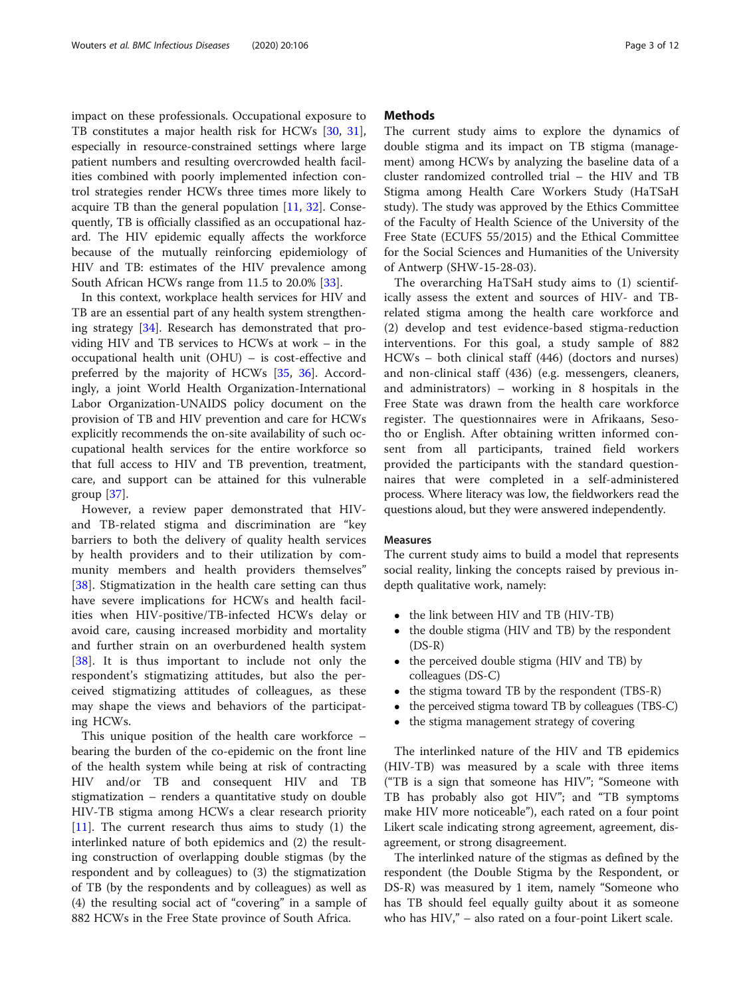impact on these professionals. Occupational exposure to TB constitutes a major health risk for HCWs [\[30,](#page-10-0) [31](#page-10-0)], especially in resource-constrained settings where large patient numbers and resulting overcrowded health facilities combined with poorly implemented infection control strategies render HCWs three times more likely to acquire TB than the general population  $[11, 32]$  $[11, 32]$  $[11, 32]$  $[11, 32]$ . Consequently, TB is officially classified as an occupational hazard. The HIV epidemic equally affects the workforce because of the mutually reinforcing epidemiology of HIV and TB: estimates of the HIV prevalence among South African HCWs range from 11.5 to 20.0% [[33\]](#page-10-0).

In this context, workplace health services for HIV and TB are an essential part of any health system strengthening strategy [\[34](#page-10-0)]. Research has demonstrated that providing HIV and TB services to HCWs at work – in the occupational health unit (OHU) – is cost-effective and preferred by the majority of HCWs [\[35,](#page-10-0) [36\]](#page-10-0). Accordingly, a joint World Health Organization-International Labor Organization-UNAIDS policy document on the provision of TB and HIV prevention and care for HCWs explicitly recommends the on-site availability of such occupational health services for the entire workforce so that full access to HIV and TB prevention, treatment, care, and support can be attained for this vulnerable group [[37\]](#page-10-0).

However, a review paper demonstrated that HIVand TB-related stigma and discrimination are "key barriers to both the delivery of quality health services by health providers and to their utilization by community members and health providers themselves" [[38\]](#page-10-0). Stigmatization in the health care setting can thus have severe implications for HCWs and health facilities when HIV-positive/TB-infected HCWs delay or avoid care, causing increased morbidity and mortality and further strain on an overburdened health system [[38\]](#page-10-0). It is thus important to include not only the respondent's stigmatizing attitudes, but also the perceived stigmatizing attitudes of colleagues, as these may shape the views and behaviors of the participating HCWs.

This unique position of the health care workforce – bearing the burden of the co-epidemic on the front line of the health system while being at risk of contracting HIV and/or TB and consequent HIV and TB stigmatization – renders a quantitative study on double HIV-TB stigma among HCWs a clear research priority  $[11]$  $[11]$ . The current research thus aims to study  $(1)$  the interlinked nature of both epidemics and (2) the resulting construction of overlapping double stigmas (by the respondent and by colleagues) to (3) the stigmatization of TB (by the respondents and by colleagues) as well as (4) the resulting social act of "covering" in a sample of 882 HCWs in the Free State province of South Africa.

## **Methods**

The current study aims to explore the dynamics of double stigma and its impact on TB stigma (management) among HCWs by analyzing the baseline data of a cluster randomized controlled trial – the HIV and TB Stigma among Health Care Workers Study (HaTSaH study). The study was approved by the Ethics Committee of the Faculty of Health Science of the University of the Free State (ECUFS 55/2015) and the Ethical Committee for the Social Sciences and Humanities of the University of Antwerp (SHW-15-28-03).

The overarching HaTSaH study aims to (1) scientifically assess the extent and sources of HIV- and TBrelated stigma among the health care workforce and (2) develop and test evidence-based stigma-reduction interventions. For this goal, a study sample of 882 HCWs – both clinical staff (446) (doctors and nurses) and non-clinical staff (436) (e.g. messengers, cleaners, and administrators) – working in 8 hospitals in the Free State was drawn from the health care workforce register. The questionnaires were in Afrikaans, Sesotho or English. After obtaining written informed consent from all participants, trained field workers provided the participants with the standard questionnaires that were completed in a self-administered process. Where literacy was low, the fieldworkers read the questions aloud, but they were answered independently.

#### Measures

The current study aims to build a model that represents social reality, linking the concepts raised by previous indepth qualitative work, namely:

- the link between HIV and TB (HIV-TB)<br>• the double stigma (HIV and TB) by the
- the double stigma (HIV and TB) by the respondent (DS-R)
- the perceived double stigma (HIV and TB) by colleagues (DS-C)
- the stigma toward TB by the respondent (TBS-R)
- the perceived stigma toward TB by colleagues (TBS-C)
- the stigma management strategy of covering

The interlinked nature of the HIV and TB epidemics (HIV-TB) was measured by a scale with three items ("TB is a sign that someone has HIV"; "Someone with TB has probably also got HIV"; and "TB symptoms make HIV more noticeable"), each rated on a four point Likert scale indicating strong agreement, agreement, disagreement, or strong disagreement.

The interlinked nature of the stigmas as defined by the respondent (the Double Stigma by the Respondent, or DS-R) was measured by 1 item, namely "Someone who has TB should feel equally guilty about it as someone who has HIV," – also rated on a four-point Likert scale.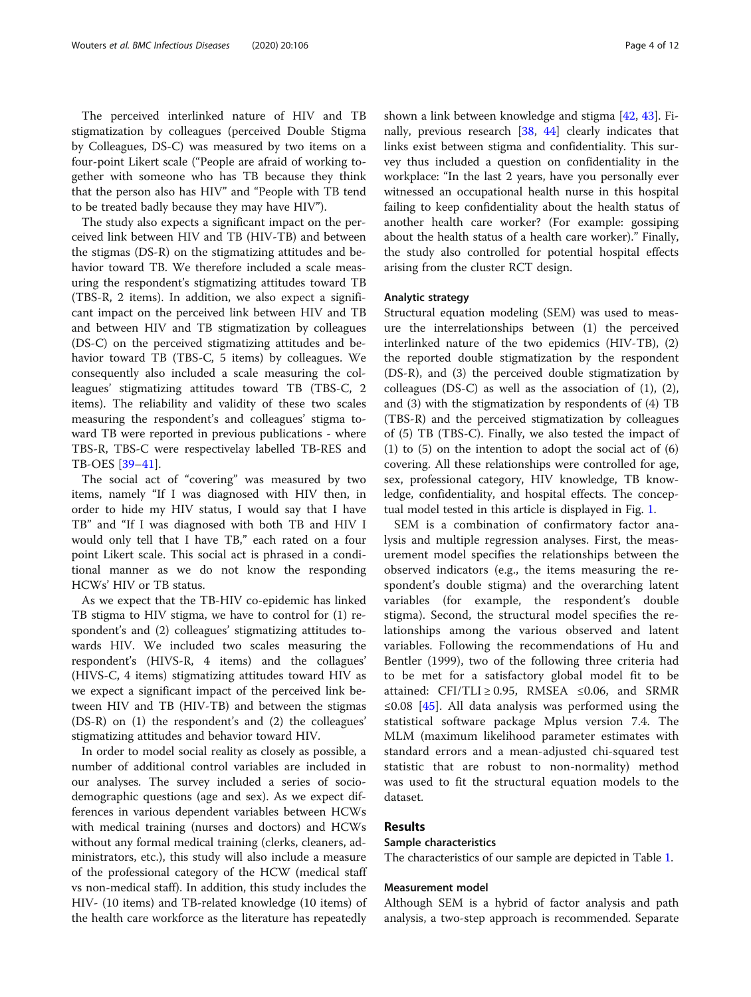The perceived interlinked nature of HIV and TB stigmatization by colleagues (perceived Double Stigma by Colleagues, DS-C) was measured by two items on a four-point Likert scale ("People are afraid of working together with someone who has TB because they think that the person also has HIV" and "People with TB tend to be treated badly because they may have HIV").

The study also expects a significant impact on the perceived link between HIV and TB (HIV-TB) and between the stigmas (DS-R) on the stigmatizing attitudes and behavior toward TB. We therefore included a scale measuring the respondent's stigmatizing attitudes toward TB (TBS-R, 2 items). In addition, we also expect a significant impact on the perceived link between HIV and TB and between HIV and TB stigmatization by colleagues (DS-C) on the perceived stigmatizing attitudes and behavior toward TB (TBS-C, 5 items) by colleagues. We consequently also included a scale measuring the colleagues' stigmatizing attitudes toward TB (TBS-C, 2 items). The reliability and validity of these two scales measuring the respondent's and colleagues' stigma toward TB were reported in previous publications - where TBS-R, TBS-C were respectivelay labelled TB-RES and TB-OES [[39](#page-10-0)–[41\]](#page-10-0).

The social act of "covering" was measured by two items, namely "If I was diagnosed with HIV then, in order to hide my HIV status, I would say that I have TB" and "If I was diagnosed with both TB and HIV I would only tell that I have TB," each rated on a four point Likert scale. This social act is phrased in a conditional manner as we do not know the responding HCWs' HIV or TB status.

As we expect that the TB-HIV co-epidemic has linked TB stigma to HIV stigma, we have to control for (1) respondent's and (2) colleagues' stigmatizing attitudes towards HIV. We included two scales measuring the respondent's (HIVS-R, 4 items) and the collagues' (HIVS-C, 4 items) stigmatizing attitudes toward HIV as we expect a significant impact of the perceived link between HIV and TB (HIV-TB) and between the stigmas (DS-R) on (1) the respondent's and (2) the colleagues' stigmatizing attitudes and behavior toward HIV.

In order to model social reality as closely as possible, a number of additional control variables are included in our analyses. The survey included a series of sociodemographic questions (age and sex). As we expect differences in various dependent variables between HCWs with medical training (nurses and doctors) and HCWs without any formal medical training (clerks, cleaners, administrators, etc.), this study will also include a measure of the professional category of the HCW (medical staff vs non-medical staff). In addition, this study includes the HIV- (10 items) and TB-related knowledge (10 items) of the health care workforce as the literature has repeatedly shown a link between knowledge and stigma [\[42](#page-10-0), [43](#page-10-0)]. Finally, previous research [[38,](#page-10-0) [44](#page-10-0)] clearly indicates that links exist between stigma and confidentiality. This survey thus included a question on confidentiality in the workplace: "In the last 2 years, have you personally ever witnessed an occupational health nurse in this hospital failing to keep confidentiality about the health status of another health care worker? (For example: gossiping about the health status of a health care worker)." Finally, the study also controlled for potential hospital effects arising from the cluster RCT design.

#### Analytic strategy

Structural equation modeling (SEM) was used to measure the interrelationships between (1) the perceived interlinked nature of the two epidemics (HIV-TB), (2) the reported double stigmatization by the respondent (DS-R), and (3) the perceived double stigmatization by colleagues (DS-C) as well as the association of (1), (2), and (3) with the stigmatization by respondents of (4) TB (TBS-R) and the perceived stigmatization by colleagues of (5) TB (TBS-C). Finally, we also tested the impact of (1) to (5) on the intention to adopt the social act of (6) covering. All these relationships were controlled for age, sex, professional category, HIV knowledge, TB knowledge, confidentiality, and hospital effects. The conceptual model tested in this article is displayed in Fig. [1.](#page-4-0)

SEM is a combination of confirmatory factor analysis and multiple regression analyses. First, the measurement model specifies the relationships between the observed indicators (e.g., the items measuring the respondent's double stigma) and the overarching latent variables (for example, the respondent's double stigma). Second, the structural model specifies the relationships among the various observed and latent variables. Following the recommendations of Hu and Bentler (1999), two of the following three criteria had to be met for a satisfactory global model fit to be attained: CFI/TLI ≥ 0.95, RMSEA  $\leq$ 0.06, and SRMR ≤0.08 [\[45](#page-10-0)]. All data analysis was performed using the statistical software package Mplus version 7.4. The MLM (maximum likelihood parameter estimates with standard errors and a mean-adjusted chi-squared test statistic that are robust to non-normality) method was used to fit the structural equation models to the dataset.

## Results

## Sample characteristics

The characteristics of our sample are depicted in Table [1](#page-5-0).

## Measurement model

Although SEM is a hybrid of factor analysis and path analysis, a two-step approach is recommended. Separate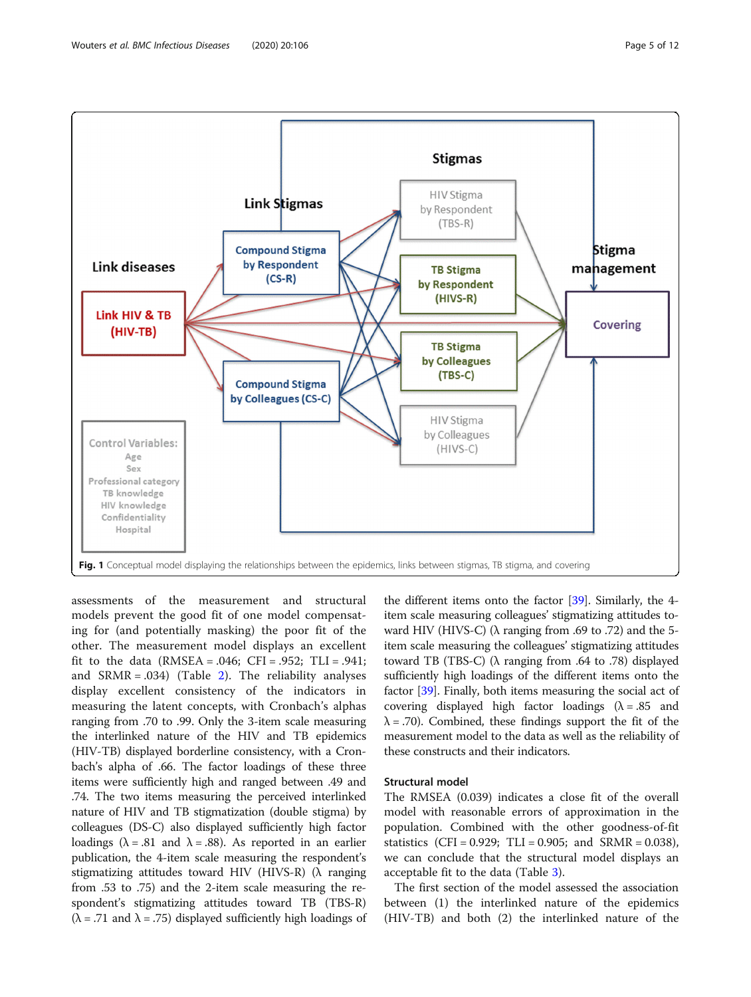<span id="page-4-0"></span>

Fig. 1 Conceptual model displaying the relationships between the epidemics, links between stigmas, TB stigma, and covering

assessments of the measurement and structural models prevent the good fit of one model compensating for (and potentially masking) the poor fit of the other. The measurement model displays an excellent fit to the data (RMSEA = .046; CFI = .952; TLI = .941; and  $SRMR = .034$ ) (Table [2](#page-5-0)). The reliability analyses display excellent consistency of the indicators in measuring the latent concepts, with Cronbach's alphas ranging from .70 to .99. Only the 3-item scale measuring the interlinked nature of the HIV and TB epidemics (HIV-TB) displayed borderline consistency, with a Cronbach's alpha of .66. The factor loadings of these three items were sufficiently high and ranged between .49 and .74. The two items measuring the perceived interlinked nature of HIV and TB stigmatization (double stigma) by colleagues (DS-C) also displayed sufficiently high factor loadings ( $\lambda = .81$  and  $\lambda = .88$ ). As reported in an earlier publication, the 4-item scale measuring the respondent's stigmatizing attitudes toward HIV (HIVS-R) (λ ranging from .53 to .75) and the 2-item scale measuring the respondent's stigmatizing attitudes toward TB (TBS-R)  $(\lambda = .71$  and  $\lambda = .75)$  displayed sufficiently high loadings of

Confidentiality Hospital

> the different items onto the factor [[39](#page-10-0)]. Similarly, the 4 item scale measuring colleagues' stigmatizing attitudes toward HIV (HIVS-C) ( $\lambda$  ranging from .69 to .72) and the 5item scale measuring the colleagues' stigmatizing attitudes toward TB (TBS-C) (λ ranging from .64 to .78) displayed sufficiently high loadings of the different items onto the factor [\[39\]](#page-10-0). Finally, both items measuring the social act of covering displayed high factor loadings  $(\lambda = .85$  and  $\lambda$  = .70). Combined, these findings support the fit of the measurement model to the data as well as the reliability of these constructs and their indicators.

## Structural model

The RMSEA (0.039) indicates a close fit of the overall model with reasonable errors of approximation in the population. Combined with the other goodness-of-fit statistics (CFI = 0.929; TLI = 0.905; and SRMR = 0.038), we can conclude that the structural model displays an acceptable fit to the data (Table [3\)](#page-6-0).

The first section of the model assessed the association between (1) the interlinked nature of the epidemics (HIV-TB) and both (2) the interlinked nature of the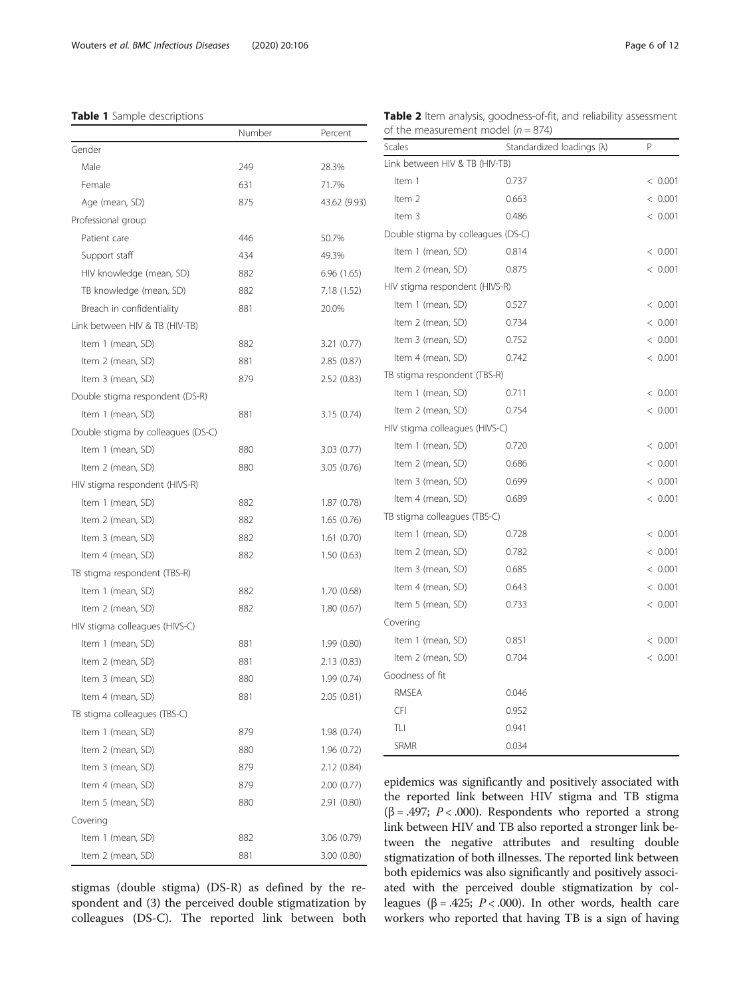## <span id="page-5-0"></span>Table 1 Sample descriptions

|                                    | Number | Percent      | of the measurement model ( $n = 874$ ) |                                                                                                        |        |  |
|------------------------------------|--------|--------------|----------------------------------------|--------------------------------------------------------------------------------------------------------|--------|--|
| Gender                             |        |              | Scales                                 | Standardized loadings (λ)                                                                              | P      |  |
| Male                               | 249    | 28.3%        | Link between HIV & TB (HIV-TB)         |                                                                                                        |        |  |
| Female                             | 631    | 71.7%        | Item 1                                 | 0.737                                                                                                  | $\leq$ |  |
| Age (mean, SD)                     | 875    | 43.62 (9.93) | Item 2                                 | 0.663                                                                                                  | $\,<$  |  |
| Professional group                 |        |              | Item 3                                 | 0.486                                                                                                  |        |  |
| Patient care                       | 446    | 50.7%        | Double stigma by colleagues (DS-C)     |                                                                                                        |        |  |
| Support staff                      | 434    | 49.3%        | Item 1 (mean, SD)                      | 0.814                                                                                                  |        |  |
| HIV knowledge (mean, SD)           | 882    | 6.96(1.65)   | Item 2 (mean, SD)                      | 0.875                                                                                                  |        |  |
| TB knowledge (mean, SD)            | 882    | 7.18 (1.52)  | HIV stigma respondent (HIVS-R)         |                                                                                                        |        |  |
| Breach in confidentiality          | 881    | 20.0%        | Item 1 (mean, SD)                      | 0.527                                                                                                  |        |  |
| Link between HIV & TB (HIV-TB)     |        |              | Item 2 (mean, SD)                      | 0.734                                                                                                  |        |  |
| Item 1 (mean, SD)                  | 882    | 3.21 (0.77)  | Item 3 (mean, SD)                      | 0.752                                                                                                  |        |  |
| Item 2 (mean, SD)                  | 881    | 2.85(0.87)   | Item 4 (mean, SD)                      | 0.742                                                                                                  |        |  |
| Item 3 (mean, SD)                  | 879    | 2.52(0.83)   | TB stigma respondent (TBS-R)           |                                                                                                        |        |  |
| Double stigma respondent (DS-R)    |        |              | Item 1 (mean, SD)                      | 0.711                                                                                                  |        |  |
| Item 1 (mean, SD)                  | 881    | 3.15(0.74)   | Item 2 (mean, SD)                      | 0.754                                                                                                  |        |  |
| Double stigma by colleagues (DS-C) |        |              | HIV stigma colleagues (HIVS-C)         |                                                                                                        |        |  |
| Item 1 (mean, SD)                  | 880    | 3.03(0.77)   | Item 1 (mean, SD)                      | 0.720                                                                                                  |        |  |
| Item 2 (mean, SD)                  | 880    | 3.05(0.76)   | Item 2 (mean, SD)                      | 0.686                                                                                                  |        |  |
| HIV stigma respondent (HIVS-R)     |        |              | Item 3 (mean, SD)                      | 0.699                                                                                                  |        |  |
| Item 1 (mean, SD)                  | 882    | 1.87(0.78)   | Item 4 (mean, SD)                      | 0.689                                                                                                  | $\,<$  |  |
| Item 2 (mean, SD)                  | 882    | 1.65(0.76)   | TB stigma colleagues (TBS-C)           |                                                                                                        |        |  |
| Item 3 (mean, SD)                  | 882    | 1.61(0.70)   | Item 1 (mean, SD)                      | 0.728                                                                                                  |        |  |
| Item 4 (mean, SD)                  | 882    | 1.50(0.63)   | Item 2 (mean, SD)                      | 0.782                                                                                                  | $\,<$  |  |
| TB stigma respondent (TBS-R)       |        |              | Item 3 (mean, SD)                      | 0.685                                                                                                  | $\,<$  |  |
| Item 1 (mean, SD)                  | 882    | 1.70(0.68)   | Item 4 (mean, SD)                      | 0.643                                                                                                  |        |  |
| Item 2 (mean, SD)                  | 882    | 1.80(0.67)   | Item 5 (mean, SD)                      | 0.733                                                                                                  | $\,<$  |  |
| HIV stigma colleagues (HIVS-C)     |        |              | Covering                               |                                                                                                        |        |  |
| Item 1 (mean, SD)                  | 881    | 1.99(0.80)   | Item 1 (mean, SD)                      | 0.851                                                                                                  |        |  |
| Item 2 (mean, SD)                  | 881    | 2.13(0.83)   | Item 2 (mean, SD)                      | 0.704                                                                                                  |        |  |
| Item 3 (mean, SD)                  | 880    | 1.99(0.74)   | Goodness of fit                        |                                                                                                        |        |  |
| Item 4 (mean, SD)                  | 881    | 2.05(0.81)   | RMSEA                                  | 0.046                                                                                                  |        |  |
| TB stigma colleagues (TBS-C)       |        |              | CFI                                    | 0.952                                                                                                  |        |  |
| Item 1 (mean, SD)                  | 879    | 1.98(0.74)   | TLI                                    | 0.941                                                                                                  |        |  |
| Item 2 (mean, SD)                  | 880    | 1.96(0.72)   | SRMR                                   | 0.034                                                                                                  |        |  |
| Item 3 (mean, SD)                  | 879    | 2.12 (0.84)  |                                        |                                                                                                        |        |  |
| Item 4 (mean, SD)                  | 879    | 2.00(0.77)   |                                        | epidemics was significantly and positively associated                                                  |        |  |
| Item 5 (mean, SD)                  | 880    | 2.91 (0.80)  |                                        | the reported link between HIV stigma and TB st                                                         |        |  |
| Covering                           |        |              |                                        | ( $\beta$ = .497; P < .000). Respondents who reported a s                                              |        |  |
| Item 1 (mean, SD)                  | 882    | 3.06 (0.79)  |                                        | link between HIV and TB also reported a stronger lin<br>tween the negative attributes and resulting do |        |  |
| Item 2 (mean, SD)                  | 881    | 3.00(0.80)   |                                        | stigmatization of both illnesses. The reported link bet                                                |        |  |

stigmas (double stigma) (DS-R) as defined by the respondent and (3) the perceived double stigmatization by colleagues (DS-C). The reported link between both

| Link between HIV & TB (HIV-TB)     |       |         |
|------------------------------------|-------|---------|
| Item 1                             | 0.737 | < 0.001 |
| Item <sub>2</sub>                  | 0.663 | < 0.001 |
| Item 3                             | 0.486 | < 0.001 |
| Double stigma by colleagues (DS-C) |       |         |
| Item 1 (mean, SD)                  | 0.814 | < 0.001 |
| Item 2 (mean, SD)                  | 0.875 | < 0.001 |
| HIV stigma respondent (HIVS-R)     |       |         |
| Item 1 (mean, SD)                  | 0.527 | < 0.001 |
| Item 2 (mean, SD)                  | 0.734 | < 0.001 |
| Item 3 (mean, SD)                  | 0.752 | < 0.001 |
| Item 4 (mean, SD)                  | 0.742 | < 0.001 |
| TB stigma respondent (TBS-R)       |       |         |
| Item 1 (mean, SD)                  | 0.711 | < 0.001 |
| Item 2 (mean, SD)                  | 0.754 | < 0.001 |
| HIV stigma colleagues (HIVS-C)     |       |         |
| Item 1 (mean, SD)                  | 0.720 | < 0.001 |
| Item 2 (mean, SD)                  | 0.686 | < 0.001 |
| Item 3 (mean, SD)                  | 0.699 | < 0.001 |
| Item 4 (mean, SD)                  | 0.689 | < 0.001 |
| TB stigma colleagues (TBS-C)       |       |         |
| Item 1 (mean, SD)                  | 0.728 | < 0.001 |
| Item 2 (mean, SD)                  | 0.782 | < 0.001 |
| Item 3 (mean, SD)                  | 0.685 | < 0.001 |
| Item 4 (mean, SD)                  | 0.643 | < 0.001 |
| Item 5 (mean, SD)                  | 0.733 | < 0.001 |
| Covering                           |       |         |
| Item 1 (mean, SD)                  | 0.851 | < 0.001 |
| Item 2 (mean, SD)                  | 0.704 | < 0.001 |
| Goodness of fit                    |       |         |
| <b>RMSEA</b>                       | 0.046 |         |
| <b>CFI</b>                         | 0.952 |         |
| TLI                                | 0.941 |         |
| <b>SRMR</b>                        | 0.034 |         |

idemics was significantly and positively associated with reported link between HIV stigma and TB stigma  $= .497; P < .000$ ). Respondents who reported a strong k between HIV and TB also reported a stronger link beeen the negative attributes and resulting double gmatization of both illnesses. The reported link between both epidemics was also significantly and positively associated with the perceived double stigmatization by colleagues (β = .425; P < .000). In other words, health care workers who reported that having TB is a sign of having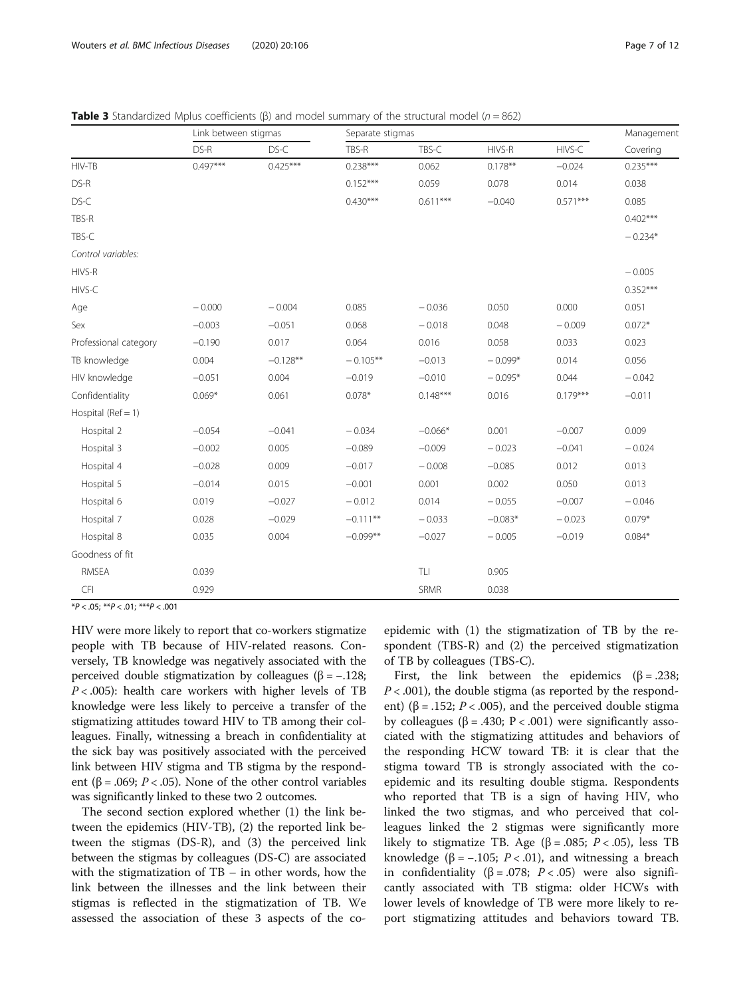|                        | Link between stigmas |            | Separate stigmas |                                  |           |            | Management |
|------------------------|----------------------|------------|------------------|----------------------------------|-----------|------------|------------|
|                        | DS-R                 | DS-C       | TBS-R            | TBS-C                            | HIVS-R    | HIVS-C     | Covering   |
| HIV-TB                 | $0.497***$           | $0.425***$ | $0.238***$       | 0.062                            | $0.178**$ | $-0.024$   | $0.235***$ |
| DS-R                   |                      |            | $0.152***$       | 0.059                            | 0.078     | 0.014      | 0.038      |
| DS-C                   |                      |            | $0.430***$       | $0.611***$                       | $-0.040$  | $0.571***$ | 0.085      |
| TBS-R                  |                      |            |                  |                                  |           |            | $0.402***$ |
| TBS-C                  |                      |            |                  |                                  |           |            | $-0.234*$  |
| Control variables:     |                      |            |                  |                                  |           |            |            |
| HIVS-R                 |                      |            |                  |                                  |           |            | $-0.005$   |
| HIVS-C                 |                      |            |                  |                                  |           |            | $0.352***$ |
| Age                    | $-0.000$             | $-0.004$   | 0.085            | $-0.036$                         | 0.050     | 0.000      | 0.051      |
| Sex                    | $-0.003$             | $-0.051$   | 0.068            | $-0.018$                         | 0.048     | $-0.009$   | $0.072*$   |
| Professional category  | $-0.190$             | 0.017      | 0.064            | 0.016                            | 0.058     | 0.033      | 0.023      |
| TB knowledge           | 0.004                | $-0.128**$ | $-0.105**$       | $-0.013$                         | $-0.099*$ | 0.014      | 0.056      |
| HIV knowledge          | $-0.051$             | 0.004      | $-0.019$         | $-0.010$                         | $-0.095*$ | 0.044      | $-0.042$   |
| Confidentiality        | $0.069*$             | 0.061      | $0.078*$         | $0.148***$                       | 0.016     | $0.179***$ | $-0.011$   |
| Hospital ( $Ref = 1$ ) |                      |            |                  |                                  |           |            |            |
| Hospital 2             | $-0.054$             | $-0.041$   | $-0.034$         | $-0.066*$                        | 0.001     | $-0.007$   | 0.009      |
| Hospital 3             | $-0.002$             | 0.005      | $-0.089$         | $-0.009$                         | $-0.023$  | $-0.041$   | $-0.024$   |
| Hospital 4             | $-0.028$             | 0.009      | $-0.017$         | $-0.008$                         | $-0.085$  | 0.012      | 0.013      |
| Hospital 5             | $-0.014$             | 0.015      | $-0.001$         | 0.001                            | 0.002     | 0.050      | 0.013      |
| Hospital 6             | 0.019                | $-0.027$   | $-0.012$         | 0.014                            | $-0.055$  | $-0.007$   | $-0.046$   |
| Hospital 7             | 0.028                | $-0.029$   | $-0.111**$       | $-0.033$                         | $-0.083*$ | $-0.023$   | $0.079*$   |
| Hospital 8             | 0.035                | 0.004      | $-0.099**$       | $-0.027$                         | $-0.005$  | $-0.019$   | $0.084*$   |
| Goodness of fit        |                      |            |                  |                                  |           |            |            |
| <b>RMSEA</b>           | 0.039                |            |                  | $\mathsf{T}\mathsf{L}\mathsf{I}$ | 0.905     |            |            |
| CFI                    | 0.929                |            |                  | SRMR                             | 0.038     |            |            |

<span id="page-6-0"></span>**Table 3** Standardized Mplus coefficients ( $\beta$ ) and model summary of the structural model ( $n = 862$ )

 $*P < .05; **P < .01; **P < .001$ 

HIV were more likely to report that co-workers stigmatize people with TB because of HIV-related reasons. Conversely, TB knowledge was negatively associated with the perceived double stigmatization by colleagues ( $β = -.128;$  $P < .005$ : health care workers with higher levels of TB knowledge were less likely to perceive a transfer of the stigmatizing attitudes toward HIV to TB among their colleagues. Finally, witnessing a breach in confidentiality at the sick bay was positively associated with the perceived link between HIV stigma and TB stigma by the respondent (β = .069; *P* < .05). None of the other control variables was significantly linked to these two 2 outcomes.

The second section explored whether (1) the link between the epidemics (HIV-TB), (2) the reported link between the stigmas (DS-R), and (3) the perceived link between the stigmas by colleagues (DS-C) are associated with the stigmatization of  $TB - in$  other words, how the link between the illnesses and the link between their stigmas is reflected in the stigmatization of TB. We assessed the association of these 3 aspects of the coepidemic with (1) the stigmatization of TB by the respondent (TBS-R) and (2) the perceived stigmatization of TB by colleagues (TBS-C).

First, the link between the epidemics ( $\beta$  = .238;  $P < .001$ ), the double stigma (as reported by the respondent) ( $\beta$  = .152; *P* < .005), and the perceived double stigma by colleagues (β = .430; P < .001) were significantly associated with the stigmatizing attitudes and behaviors of the responding HCW toward TB: it is clear that the stigma toward TB is strongly associated with the coepidemic and its resulting double stigma. Respondents who reported that TB is a sign of having HIV, who linked the two stigmas, and who perceived that colleagues linked the 2 stigmas were significantly more likely to stigmatize TB. Age (β = .085;  $P < .05$ ), less TB knowledge ( $\beta$  = -.105; *P* < .01), and witnessing a breach in confidentiality ( $\beta = .078$ ;  $P < .05$ ) were also significantly associated with TB stigma: older HCWs with lower levels of knowledge of TB were more likely to report stigmatizing attitudes and behaviors toward TB.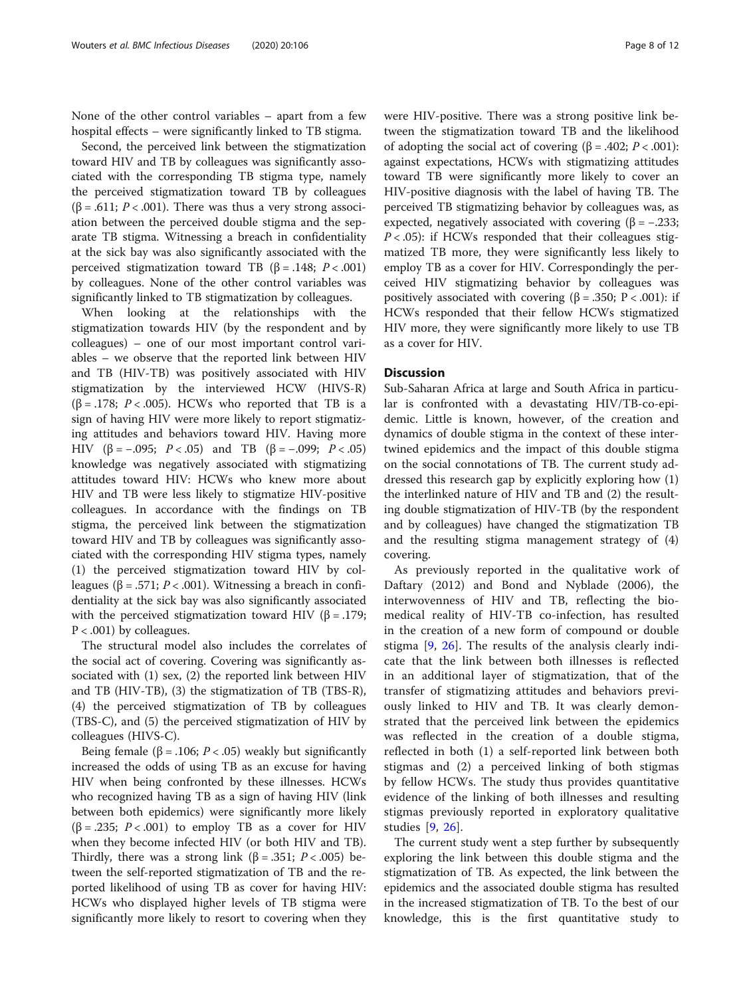None of the other control variables – apart from a few hospital effects – were significantly linked to TB stigma.

Second, the perceived link between the stigmatization toward HIV and TB by colleagues was significantly associated with the corresponding TB stigma type, namely the perceived stigmatization toward TB by colleagues ( $\beta$  = .611; P < .001). There was thus a very strong association between the perceived double stigma and the separate TB stigma. Witnessing a breach in confidentiality at the sick bay was also significantly associated with the perceived stigmatization toward TB (β = .148;  $P < .001$ ) by colleagues. None of the other control variables was significantly linked to TB stigmatization by colleagues.

When looking at the relationships with the stigmatization towards HIV (by the respondent and by colleagues) – one of our most important control variables – we observe that the reported link between HIV and TB (HIV-TB) was positively associated with HIV stigmatization by the interviewed HCW (HIVS-R) ( $\beta$  = .178; *P* < .005). HCWs who reported that TB is a sign of having HIV were more likely to report stigmatizing attitudes and behaviors toward HIV. Having more HIV (β = -.095; P < .05) and TB (β = -.099; P < .05) knowledge was negatively associated with stigmatizing attitudes toward HIV: HCWs who knew more about HIV and TB were less likely to stigmatize HIV-positive colleagues. In accordance with the findings on TB stigma, the perceived link between the stigmatization toward HIV and TB by colleagues was significantly associated with the corresponding HIV stigma types, namely (1) the perceived stigmatization toward HIV by colleagues (β = .571;  $P < .001$ ). Witnessing a breach in confidentiality at the sick bay was also significantly associated with the perceived stigmatization toward HIV ( $\beta$  = .179;  $P < .001$ ) by colleagues.

The structural model also includes the correlates of the social act of covering. Covering was significantly associated with (1) sex, (2) the reported link between HIV and TB (HIV-TB), (3) the stigmatization of TB (TBS-R), (4) the perceived stigmatization of TB by colleagues (TBS-C), and (5) the perceived stigmatization of HIV by colleagues (HIVS-C).

Being female (β = .106; P < .05) weakly but significantly increased the odds of using TB as an excuse for having HIV when being confronted by these illnesses. HCWs who recognized having TB as a sign of having HIV (link between both epidemics) were significantly more likely  $(\beta = .235; P < .001)$  to employ TB as a cover for HIV when they become infected HIV (or both HIV and TB). Thirdly, there was a strong link ( $\beta$  = .351; P < .005) between the self-reported stigmatization of TB and the reported likelihood of using TB as cover for having HIV: HCWs who displayed higher levels of TB stigma were significantly more likely to resort to covering when they were HIV-positive. There was a strong positive link between the stigmatization toward TB and the likelihood of adopting the social act of covering  $(β = .402; P < .001)$ : against expectations, HCWs with stigmatizing attitudes toward TB were significantly more likely to cover an HIV-positive diagnosis with the label of having TB. The perceived TB stigmatizing behavior by colleagues was, as expected, negatively associated with covering  $(\beta = -.233;$  $P < .05$ ): if HCWs responded that their colleagues stigmatized TB more, they were significantly less likely to employ TB as a cover for HIV. Correspondingly the perceived HIV stigmatizing behavior by colleagues was positively associated with covering (β = .350; P < .001): if HCWs responded that their fellow HCWs stigmatized HIV more, they were significantly more likely to use TB as a cover for HIV.

## **Discussion**

Sub-Saharan Africa at large and South Africa in particular is confronted with a devastating HIV/TB-co-epidemic. Little is known, however, of the creation and dynamics of double stigma in the context of these intertwined epidemics and the impact of this double stigma on the social connotations of TB. The current study addressed this research gap by explicitly exploring how (1) the interlinked nature of HIV and TB and (2) the resulting double stigmatization of HIV-TB (by the respondent and by colleagues) have changed the stigmatization TB and the resulting stigma management strategy of (4) covering.

As previously reported in the qualitative work of Daftary (2012) and Bond and Nyblade (2006), the interwovenness of HIV and TB, reflecting the biomedical reality of HIV-TB co-infection, has resulted in the creation of a new form of compound or double stigma [\[9](#page-10-0), [26\]](#page-10-0). The results of the analysis clearly indicate that the link between both illnesses is reflected in an additional layer of stigmatization, that of the transfer of stigmatizing attitudes and behaviors previously linked to HIV and TB. It was clearly demonstrated that the perceived link between the epidemics was reflected in the creation of a double stigma, reflected in both (1) a self-reported link between both stigmas and (2) a perceived linking of both stigmas by fellow HCWs. The study thus provides quantitative evidence of the linking of both illnesses and resulting stigmas previously reported in exploratory qualitative studies [[9,](#page-10-0) [26\]](#page-10-0).

The current study went a step further by subsequently exploring the link between this double stigma and the stigmatization of TB. As expected, the link between the epidemics and the associated double stigma has resulted in the increased stigmatization of TB. To the best of our knowledge, this is the first quantitative study to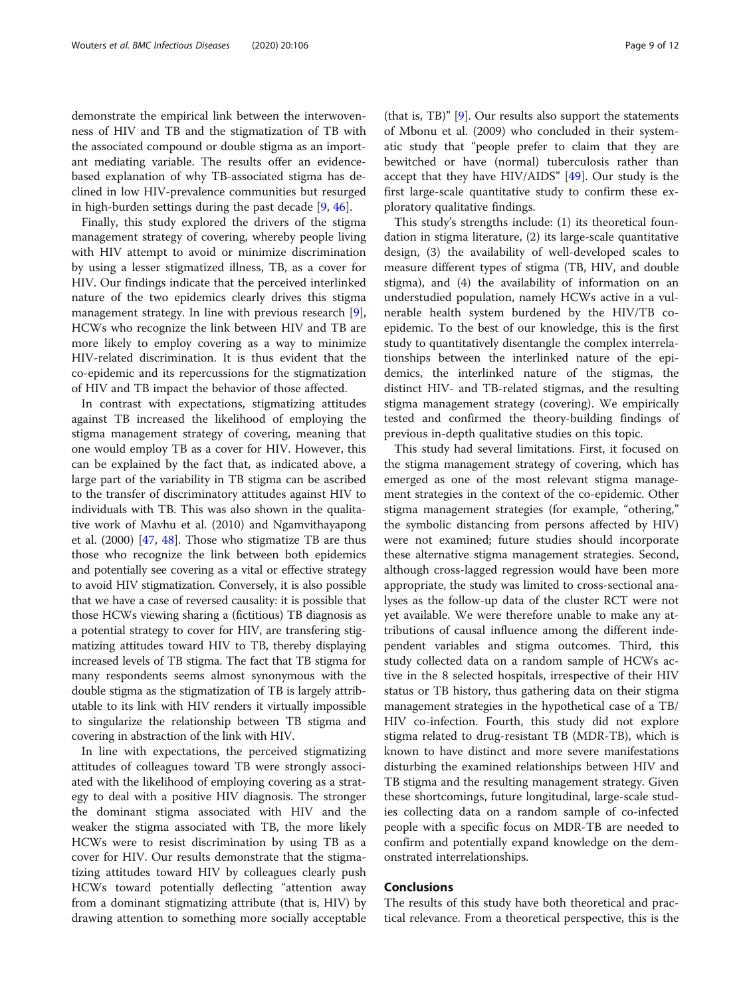demonstrate the empirical link between the interwovenness of HIV and TB and the stigmatization of TB with the associated compound or double stigma as an important mediating variable. The results offer an evidencebased explanation of why TB-associated stigma has declined in low HIV-prevalence communities but resurged in high-burden settings during the past decade [\[9](#page-10-0), [46](#page-10-0)].

Finally, this study explored the drivers of the stigma management strategy of covering, whereby people living with HIV attempt to avoid or minimize discrimination by using a lesser stigmatized illness, TB, as a cover for HIV. Our findings indicate that the perceived interlinked nature of the two epidemics clearly drives this stigma management strategy. In line with previous research [\[9](#page-10-0)], HCWs who recognize the link between HIV and TB are more likely to employ covering as a way to minimize HIV-related discrimination. It is thus evident that the co-epidemic and its repercussions for the stigmatization of HIV and TB impact the behavior of those affected.

In contrast with expectations, stigmatizing attitudes against TB increased the likelihood of employing the stigma management strategy of covering, meaning that one would employ TB as a cover for HIV. However, this can be explained by the fact that, as indicated above, a large part of the variability in TB stigma can be ascribed to the transfer of discriminatory attitudes against HIV to individuals with TB. This was also shown in the qualitative work of Mavhu et al. (2010) and Ngamvithayapong et al. (2000) [[47,](#page-10-0) [48](#page-10-0)]. Those who stigmatize TB are thus those who recognize the link between both epidemics and potentially see covering as a vital or effective strategy to avoid HIV stigmatization. Conversely, it is also possible that we have a case of reversed causality: it is possible that those HCWs viewing sharing a (fictitious) TB diagnosis as a potential strategy to cover for HIV, are transfering stigmatizing attitudes toward HIV to TB, thereby displaying increased levels of TB stigma. The fact that TB stigma for many respondents seems almost synonymous with the double stigma as the stigmatization of TB is largely attributable to its link with HIV renders it virtually impossible to singularize the relationship between TB stigma and covering in abstraction of the link with HIV.

In line with expectations, the perceived stigmatizing attitudes of colleagues toward TB were strongly associated with the likelihood of employing covering as a strategy to deal with a positive HIV diagnosis. The stronger the dominant stigma associated with HIV and the weaker the stigma associated with TB, the more likely HCWs were to resist discrimination by using TB as a cover for HIV. Our results demonstrate that the stigmatizing attitudes toward HIV by colleagues clearly push HCWs toward potentially deflecting "attention away from a dominant stigmatizing attribute (that is, HIV) by drawing attention to something more socially acceptable

(that is, TB)" [\[9](#page-10-0)]. Our results also support the statements of Mbonu et al. (2009) who concluded in their systematic study that "people prefer to claim that they are bewitched or have (normal) tuberculosis rather than accept that they have HIV/AIDS" [\[49\]](#page-10-0). Our study is the

first large-scale quantitative study to confirm these ex-

ploratory qualitative findings. This study's strengths include: (1) its theoretical foundation in stigma literature, (2) its large-scale quantitative design, (3) the availability of well-developed scales to measure different types of stigma (TB, HIV, and double stigma), and (4) the availability of information on an understudied population, namely HCWs active in a vulnerable health system burdened by the HIV/TB coepidemic. To the best of our knowledge, this is the first study to quantitatively disentangle the complex interrelationships between the interlinked nature of the epidemics, the interlinked nature of the stigmas, the distinct HIV- and TB-related stigmas, and the resulting stigma management strategy (covering). We empirically tested and confirmed the theory-building findings of previous in-depth qualitative studies on this topic.

This study had several limitations. First, it focused on the stigma management strategy of covering, which has emerged as one of the most relevant stigma management strategies in the context of the co-epidemic. Other stigma management strategies (for example, "othering," the symbolic distancing from persons affected by HIV) were not examined; future studies should incorporate these alternative stigma management strategies. Second, although cross-lagged regression would have been more appropriate, the study was limited to cross-sectional analyses as the follow-up data of the cluster RCT were not yet available. We were therefore unable to make any attributions of causal influence among the different independent variables and stigma outcomes. Third, this study collected data on a random sample of HCWs active in the 8 selected hospitals, irrespective of their HIV status or TB history, thus gathering data on their stigma management strategies in the hypothetical case of a TB/ HIV co-infection. Fourth, this study did not explore stigma related to drug-resistant TB (MDR-TB), which is known to have distinct and more severe manifestations disturbing the examined relationships between HIV and TB stigma and the resulting management strategy. Given these shortcomings, future longitudinal, large-scale studies collecting data on a random sample of co-infected people with a specific focus on MDR-TB are needed to confirm and potentially expand knowledge on the demonstrated interrelationships.

## Conclusions

The results of this study have both theoretical and practical relevance. From a theoretical perspective, this is the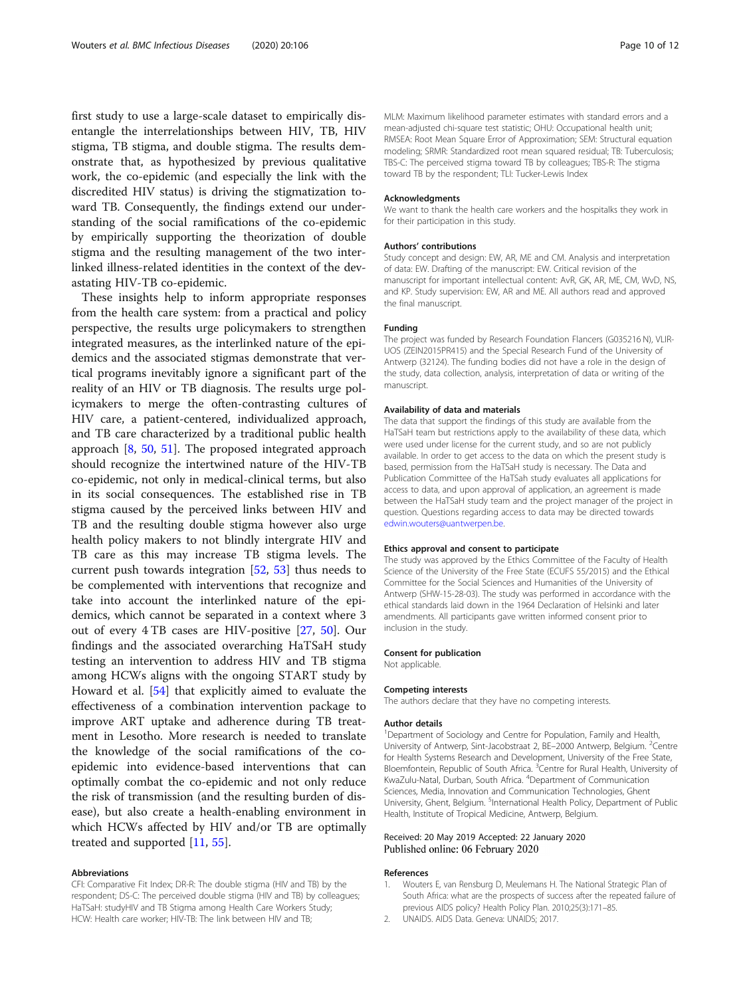<span id="page-9-0"></span>first study to use a large-scale dataset to empirically disentangle the interrelationships between HIV, TB, HIV stigma, TB stigma, and double stigma. The results demonstrate that, as hypothesized by previous qualitative work, the co-epidemic (and especially the link with the discredited HIV status) is driving the stigmatization toward TB. Consequently, the findings extend our understanding of the social ramifications of the co-epidemic by empirically supporting the theorization of double stigma and the resulting management of the two interlinked illness-related identities in the context of the devastating HIV-TB co-epidemic.

These insights help to inform appropriate responses from the health care system: from a practical and policy perspective, the results urge policymakers to strengthen integrated measures, as the interlinked nature of the epidemics and the associated stigmas demonstrate that vertical programs inevitably ignore a significant part of the reality of an HIV or TB diagnosis. The results urge policymakers to merge the often-contrasting cultures of HIV care, a patient-centered, individualized approach, and TB care characterized by a traditional public health approach [\[8](#page-10-0), [50,](#page-10-0) [51\]](#page-11-0). The proposed integrated approach should recognize the intertwined nature of the HIV-TB co-epidemic, not only in medical-clinical terms, but also in its social consequences. The established rise in TB stigma caused by the perceived links between HIV and TB and the resulting double stigma however also urge health policy makers to not blindly intergrate HIV and TB care as this may increase TB stigma levels. The current push towards integration [\[52](#page-11-0), [53\]](#page-11-0) thus needs to be complemented with interventions that recognize and take into account the interlinked nature of the epidemics, which cannot be separated in a context where 3 out of every 4 TB cases are HIV-positive [\[27,](#page-10-0) [50](#page-10-0)]. Our findings and the associated overarching HaTSaH study testing an intervention to address HIV and TB stigma among HCWs aligns with the ongoing START study by Howard et al. [\[54](#page-11-0)] that explicitly aimed to evaluate the effectiveness of a combination intervention package to improve ART uptake and adherence during TB treatment in Lesotho. More research is needed to translate the knowledge of the social ramifications of the coepidemic into evidence-based interventions that can optimally combat the co-epidemic and not only reduce the risk of transmission (and the resulting burden of disease), but also create a health-enabling environment in which HCWs affected by HIV and/or TB are optimally treated and supported [\[11](#page-10-0), [55\]](#page-11-0).

#### Abbreviations

CFI: Comparative Fit Index; DR-R: The double stigma (HIV and TB) by the respondent; DS-C: The perceived double stigma (HIV and TB) by colleagues; HaTSaH: studyHIV and TB Stigma among Health Care Workers Study; HCW: Health care worker; HIV-TB: The link between HIV and TB;

MLM: Maximum likelihood parameter estimates with standard errors and a mean-adjusted chi-square test statistic; OHU: Occupational health unit; RMSEA: Root Mean Square Error of Approximation; SEM: Structural equation modeling; SRMR: Standardized root mean squared residual; TB: Tuberculosis; TBS-C: The perceived stigma toward TB by colleagues; TBS-R: The stigma toward TB by the respondent; TLI: Tucker-Lewis Index

#### Acknowledgments

We want to thank the health care workers and the hospitalks they work in for their participation in this study.

#### Authors' contributions

Study concept and design: EW, AR, ME and CM. Analysis and interpretation of data: EW. Drafting of the manuscript: EW. Critical revision of the manuscript for important intellectual content: AvR, GK, AR, ME, CM, WvD, NS, and KP. Study supervision: EW, AR and ME. All authors read and approved the final manuscript.

#### Funding

The project was funded by Research Foundation Flancers (G035216 N), VLIR-UOS (ZEIN2015PR415) and the Special Research Fund of the University of Antwerp (32124). The funding bodies did not have a role in the design of the study, data collection, analysis, interpretation of data or writing of the manuscript.

#### Availability of data and materials

The data that support the findings of this study are available from the HaTSaH team but restrictions apply to the availability of these data, which were used under license for the current study, and so are not publicly available. In order to get access to the data on which the present study is based, permission from the HaTSaH study is necessary. The Data and Publication Committee of the HaTSah study evaluates all applications for access to data, and upon approval of application, an agreement is made between the HaTSaH study team and the project manager of the project in question. Questions regarding access to data may be directed towards [edwin.wouters@uantwerpen.be](mailto:edwin.wouters@uantwerpen.be).

#### Ethics approval and consent to participate

The study was approved by the Ethics Committee of the Faculty of Health Science of the University of the Free State (ECUFS 55/2015) and the Ethical Committee for the Social Sciences and Humanities of the University of Antwerp (SHW-15-28-03). The study was performed in accordance with the ethical standards laid down in the 1964 Declaration of Helsinki and later amendments. All participants gave written informed consent prior to inclusion in the study.

#### Consent for publication

Not applicable.

#### Competing interests

The authors declare that they have no competing interests.

#### Author details

<sup>1</sup>Department of Sociology and Centre for Population, Family and Health, University of Antwerp, Sint-Jacobstraat 2, BE-2000 Antwerp, Belgium. <sup>2</sup>Centre for Health Systems Research and Development, University of the Free State, Bloemfontein, Republic of South Africa. <sup>3</sup>Centre for Rural Health, University of KwaZulu-Natal, Durban, South Africa. <sup>4</sup> Department of Communication Sciences, Media, Innovation and Communication Technologies, Ghent University, Ghent, Belgium. <sup>5</sup>International Health Policy, Department of Public Health, Institute of Tropical Medicine, Antwerp, Belgium.

## Received: 20 May 2019 Accepted: 22 January 2020 Published online: 06 February 2020

#### References

- 1. Wouters E, van Rensburg D, Meulemans H. The National Strategic Plan of South Africa: what are the prospects of success after the repeated failure of previous AIDS policy? Health Policy Plan. 2010;25(3):171–85.
- 2. UNAIDS. AIDS Data. Geneva: UNAIDS; 2017.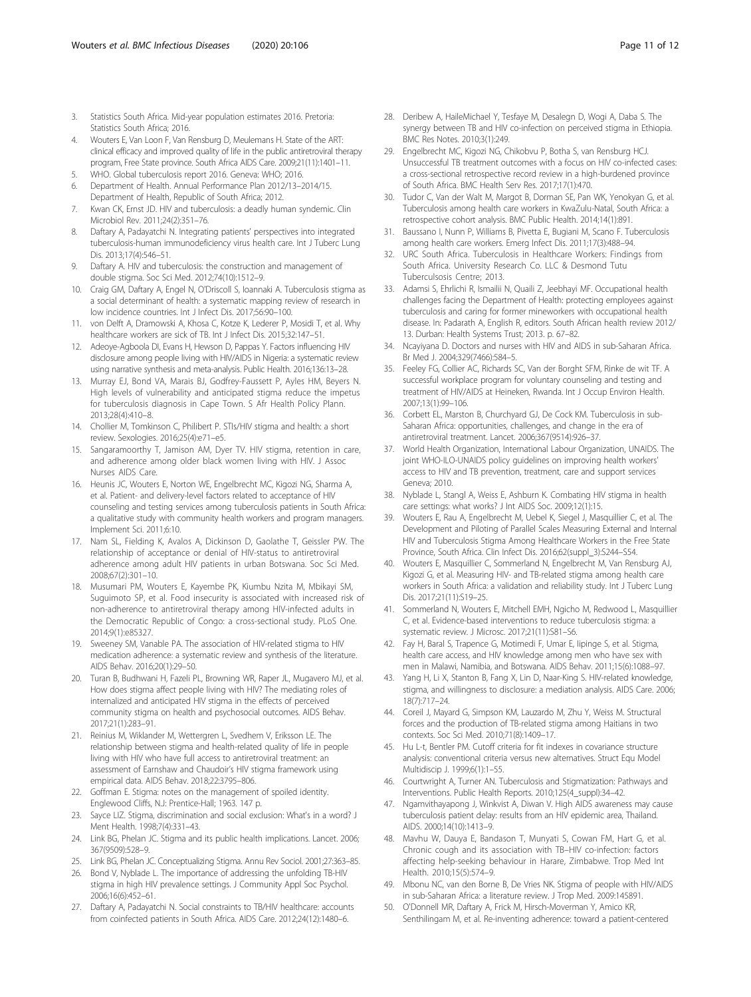- <span id="page-10-0"></span>3. Statistics South Africa. Mid-year population estimates 2016. Pretoria: Statistics South Africa; 2016.
- 4. Wouters E, Van Loon F, Van Rensburg D, Meulemans H. State of the ART: clinical efficacy and improved quality of life in the public antiretroviral therapy program, Free State province. South Africa AIDS Care. 2009;21(11):1401–11.
- 5. WHO. Global tuberculosis report 2016. Geneva: WHO; 2016.
- 6. Department of Health. Annual Performance Plan 2012/13–2014/15. Department of Health, Republic of South Africa; 2012.
- 7. Kwan CK, Ernst JD. HIV and tuberculosis: a deadly human syndemic. Clin Microbiol Rev. 2011;24(2):351–76.
- 8. Daftary A, Padayatchi N. Integrating patients' perspectives into integrated tuberculosis-human immunodeficiency virus health care. Int J Tuberc Lung Dis. 2013;17(4):546–51.
- 9. Daftary A. HIV and tuberculosis: the construction and management of double stigma. Soc Sci Med. 2012;74(10):1512–9.
- 10. Craig GM, Daftary A, Engel N, O'Driscoll S, Ioannaki A. Tuberculosis stigma as a social determinant of health: a systematic mapping review of research in low incidence countries. Int J Infect Dis. 2017;56:90–100.
- 11. von Delft A, Dramowski A, Khosa C, Kotze K, Lederer P, Mosidi T, et al. Why healthcare workers are sick of TB. Int J Infect Dis. 2015;32:147–51.
- 12. Adeoye-Agboola DI, Evans H, Hewson D, Pappas Y. Factors influencing HIV disclosure among people living with HIV/AIDS in Nigeria: a systematic review using narrative synthesis and meta-analysis. Public Health. 2016;136:13–28.
- 13. Murray EJ, Bond VA, Marais BJ, Godfrey-Faussett P, Ayles HM, Beyers N. High levels of vulnerability and anticipated stigma reduce the impetus for tuberculosis diagnosis in Cape Town. S Afr Health Policy Plann. 2013;28(4):410–8.
- 14. Chollier M, Tomkinson C, Philibert P. STIs/HIV stigma and health: a short review. Sexologies. 2016;25(4):e71–e5.
- 15. Sangaramoorthy T, Jamison AM, Dyer TV. HIV stigma, retention in care, and adherence among older black women living with HIV. J Assoc Nurses AIDS Care.
- 16. Heunis JC, Wouters E, Norton WE, Engelbrecht MC, Kigozi NG, Sharma A, et al. Patient- and delivery-level factors related to acceptance of HIV counseling and testing services among tuberculosis patients in South Africa: a qualitative study with community health workers and program managers. Implement Sci. 2011;6:10.
- 17. Nam SL, Fielding K, Avalos A, Dickinson D, Gaolathe T, Geissler PW. The relationship of acceptance or denial of HIV-status to antiretroviral adherence among adult HIV patients in urban Botswana. Soc Sci Med. 2008;67(2):301–10.
- 18. Musumari PM, Wouters E, Kayembe PK, Kiumbu Nzita M, Mbikayi SM, Suguimoto SP, et al. Food insecurity is associated with increased risk of non-adherence to antiretroviral therapy among HIV-infected adults in the Democratic Republic of Congo: a cross-sectional study. PLoS One. 2014;9(1):e85327.
- 19. Sweeney SM, Vanable PA. The association of HIV-related stigma to HIV medication adherence: a systematic review and synthesis of the literature. AIDS Behav. 2016;20(1):29–50.
- 20. Turan B, Budhwani H, Fazeli PL, Browning WR, Raper JL, Mugavero MJ, et al. How does stigma affect people living with HIV? The mediating roles of internalized and anticipated HIV stigma in the effects of perceived community stigma on health and psychosocial outcomes. AIDS Behav. 2017;21(1):283–91.
- 21. Reinius M, Wiklander M, Wettergren L, Svedhem V, Eriksson LE. The relationship between stigma and health-related quality of life in people living with HIV who have full access to antiretroviral treatment: an assessment of Earnshaw and Chaudoir's HIV stigma framework using empirical data. AIDS Behav. 2018;22:3795–806.
- 22. Goffman E. Stigma: notes on the management of spoiled identity. Englewood Cliffs, N.J: Prentice-Hall; 1963. 147 p.
- 23. Sayce LIZ, Stigma, discrimination and social exclusion: What's in a word? J Ment Health. 1998;7(4):331–43.
- 24. Link BG, Phelan JC. Stigma and its public health implications. Lancet. 2006; 367(9509):528–9.
- 25. Link BG, Phelan JC. Conceptualizing Stigma. Annu Rev Sociol. 2001;27:363–85.
- 26. Bond V, Nyblade L. The importance of addressing the unfolding TB-HIV stigma in high HIV prevalence settings. J Community Appl Soc Psychol. 2006;16(6):452–61.
- 27. Daftary A, Padayatchi N. Social constraints to TB/HIV healthcare: accounts from coinfected patients in South Africa. AIDS Care. 2012;24(12):1480–6.
- 28. Deribew A, HaileMichael Y, Tesfaye M, Desalegn D, Wogi A, Daba S. The synergy between TB and HIV co-infection on perceived stigma in Ethiopia. BMC Res Notes. 2010;3(1):249.
- 29. Engelbrecht MC, Kigozi NG, Chikobvu P, Botha S, van Rensburg HCJ. Unsuccessful TB treatment outcomes with a focus on HIV co-infected cases: a cross-sectional retrospective record review in a high-burdened province of South Africa. BMC Health Serv Res. 2017;17(1):470.
- 30. Tudor C, Van der Walt M, Margot B, Dorman SE, Pan WK, Yenokyan G, et al. Tuberculosis among health care workers in KwaZulu-Natal, South Africa: a retrospective cohort analysis. BMC Public Health. 2014;14(1):891.
- 31. Baussano I, Nunn P, Williams B, Pivetta E, Bugiani M, Scano F. Tuberculosis among health care workers. Emerg Infect Dis. 2011;17(3):488–94.
- 32. URC South Africa. Tuberculosis in Healthcare Workers: Findings from South Africa. University Research Co. LLC & Desmond Tutu Tuberculsosis Centre; 2013.
- 33. Adamsi S, Ehrlichi R, Ismailii N, Quaili Z, Jeebhayi MF. Occupational health challenges facing the Department of Health: protecting employees against tuberculosis and caring for former mineworkers with occupational health disease. In: Padarath A, English R, editors. South African health review 2012/ 13. Durban: Health Systems Trust; 2013. p. 67–82.
- 34. Ncayiyana D. Doctors and nurses with HIV and AIDS in sub-Saharan Africa. Br Med J. 2004;329(7466):584–5.
- 35. Feeley FG, Collier AC, Richards SC, Van der Borght SFM, Rinke de wit TF. A successful workplace program for voluntary counseling and testing and treatment of HIV/AIDS at Heineken, Rwanda. Int J Occup Environ Health. 2007;13(1):99–106.
- 36. Corbett EL, Marston B, Churchyard GJ, De Cock KM. Tuberculosis in sub-Saharan Africa: opportunities, challenges, and change in the era of antiretroviral treatment. Lancet. 2006;367(9514):926–37.
- 37. World Health Organization, International Labour Organization, UNAIDS. The joint WHO-ILO-UNAIDS policy guidelines on improving health workers' access to HIV and TB prevention, treatment, care and support services Geneva; 2010.
- 38. Nyblade L, Stangl A, Weiss E, Ashburn K. Combating HIV stigma in health care settings: what works? J Int AIDS Soc. 2009;12(1):15.
- 39. Wouters E, Rau A, Engelbrecht M, Uebel K, Siegel J, Masquillier C, et al. The Development and Piloting of Parallel Scales Measuring External and Internal HIV and Tuberculosis Stigma Among Healthcare Workers in the Free State Province, South Africa. Clin Infect Dis. 2016;62(suppl\_3):S244–S54.
- 40. Wouters E, Masquillier C, Sommerland N, Engelbrecht M, Van Rensburg AJ, Kigozi G, et al. Measuring HIV- and TB-related stigma among health care workers in South Africa: a validation and reliability study. Int J Tuberc Lung Dis. 2017;21(11):S19–25.
- 41. Sommerland N, Wouters E, Mitchell EMH, Ngicho M, Redwood L, Masquillier C, et al. Evidence-based interventions to reduce tuberculosis stigma: a systematic review. J Microsc. 2017;21(11):S81–S6.
- 42. Fay H, Baral S, Trapence G, Motimedi F, Umar E, Iipinge S, et al. Stigma, health care access, and HIV knowledge among men who have sex with men in Malawi, Namibia, and Botswana. AIDS Behav. 2011;15(6):1088–97.
- 43. Yang H, Li X, Stanton B, Fang X, Lin D, Naar-King S. HIV-related knowledge, stigma, and willingness to disclosure: a mediation analysis. AIDS Care. 2006; 18(7):717–24.
- 44. Coreil J, Mayard G, Simpson KM, Lauzardo M, Zhu Y, Weiss M. Structural forces and the production of TB-related stigma among Haitians in two contexts. Soc Sci Med. 2010;71(8):1409–17.
- 45. Hu L-t, Bentler PM. Cutoff criteria for fit indexes in covariance structure analysis: conventional criteria versus new alternatives. Struct Equ Model Multidiscip J. 1999;6(1):1–55.
- 46. Courtwright A, Turner AN. Tuberculosis and Stigmatization: Pathways and Interventions. Public Health Reports. 2010;125(4\_suppl):34–42.
- 47. Ngamvithayapong J, Winkvist A, Diwan V. High AIDS awareness may cause tuberculosis patient delay: results from an HIV epidemic area, Thailand. AIDS. 2000;14(10):1413–9.
- 48. Mavhu W, Dauya E, Bandason T, Munyati S, Cowan FM, Hart G, et al. Chronic cough and its association with TB–HIV co-infection: factors affecting help-seeking behaviour in Harare, Zimbabwe. Trop Med Int Health. 2010;15(5):574–9.
- 49. Mbonu NC, van den Borne B, De Vries NK. Stigma of people with HIV/AIDS in sub-Saharan Africa: a literature review. J Trop Med. 2009:145891.
- 50. O'Donnell MR, Daftary A, Frick M, Hirsch-Moverman Y, Amico KR, Senthilingam M, et al. Re-inventing adherence: toward a patient-centered